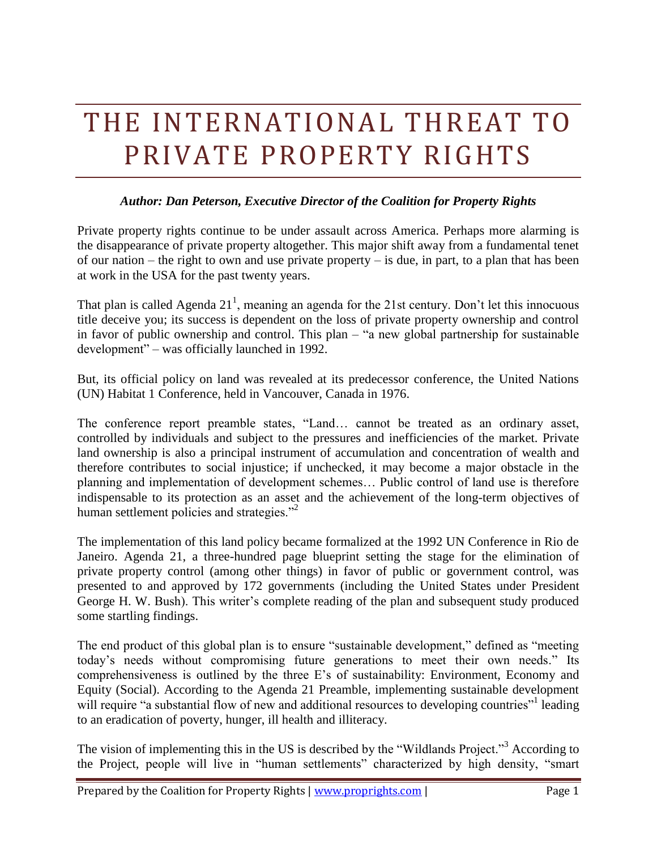# THE INTERNATIONAL THREAT TO PRIVATE PROPERTY RIGHTS

# *Author: Dan Peterson, Executive Director of the Coalition for Property Rights*

Private property rights continue to be under assault across America. Perhaps more alarming is the disappearance of private property altogether. This major shift away from a fundamental tenet of our nation – the right to own and use private property – is due, in part, to a plan that has been at work in the USA for the past twenty years.

That plan is called Agenda  $21<sup>1</sup>$ , meaning an agenda for the 21st century. Don't let this innocuous title deceive you; its success is dependent on the loss of private property ownership and control in favor of public ownership and control. This plan – "a new global partnership for sustainable development" – was officially launched in 1992.

But, its official policy on land was revealed at its predecessor conference, the United Nations (UN) Habitat 1 Conference, held in Vancouver, Canada in 1976.

The conference report preamble states, "Land… cannot be treated as an ordinary asset, controlled by individuals and subject to the pressures and inefficiencies of the market. Private land ownership is also a principal instrument of accumulation and concentration of wealth and therefore contributes to social injustice; if unchecked, it may become a major obstacle in the planning and implementation of development schemes… Public control of land use is therefore indispensable to its protection as an asset and the achievement of the long-term objectives of human settlement policies and strategies."

The implementation of this land policy became formalized at the 1992 UN Conference in Rio de Janeiro. Agenda 21, a three-hundred page blueprint setting the stage for the elimination of private property control (among other things) in favor of public or government control, was presented to and approved by 172 governments (including the United States under President George H. W. Bush). This writer's complete reading of the plan and subsequent study produced some startling findings.

The end product of this global plan is to ensure "sustainable development," defined as "meeting today's needs without compromising future generations to meet their own needs." Its comprehensiveness is outlined by the three E's of sustainability: Environment, Economy and Equity (Social). According to the Agenda 21 Preamble, implementing sustainable development will require "a substantial flow of new and additional resources to developing countries" leading to an eradication of poverty, hunger, ill health and illiteracy.

The vision of implementing this in the US is described by the "Wildlands Project."<sup>3</sup> According to the Project, people will live in "human settlements" characterized by high density, "smart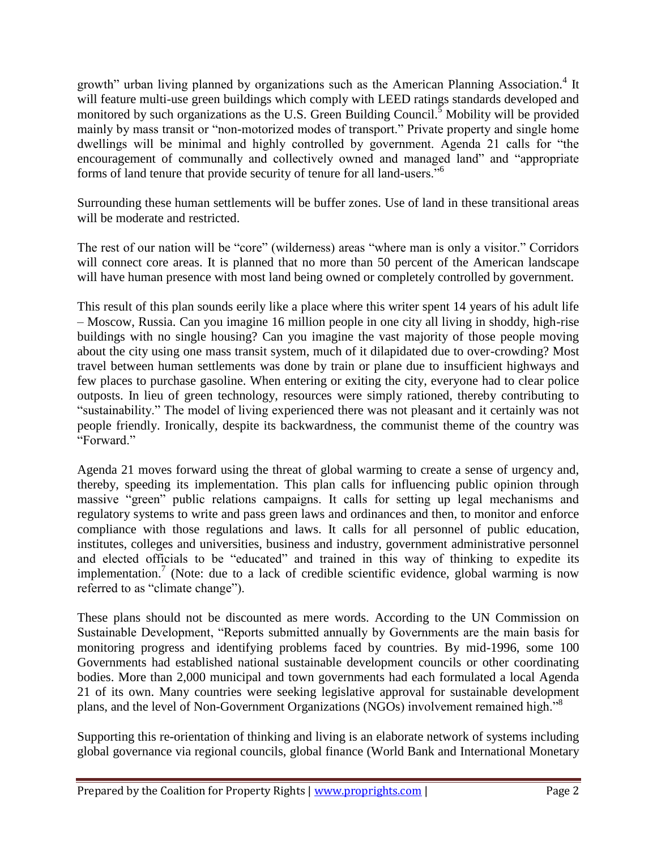growth" urban living planned by organizations such as the American Planning Association.<sup>4</sup> It will feature multi-use green buildings which comply with LEED ratings standards developed and monitored by such organizations as the U.S. Green Building Council.<sup>5</sup> Mobility will be provided mainly by mass transit or "non-motorized modes of transport." Private property and single home dwellings will be minimal and highly controlled by government. Agenda 21 calls for "the encouragement of communally and collectively owned and managed land" and "appropriate forms of land tenure that provide security of tenure for all land-users."<sup>6</sup>

Surrounding these human settlements will be buffer zones. Use of land in these transitional areas will be moderate and restricted.

The rest of our nation will be "core" (wilderness) areas "where man is only a visitor." Corridors will connect core areas. It is planned that no more than 50 percent of the American landscape will have human presence with most land being owned or completely controlled by government.

This result of this plan sounds eerily like a place where this writer spent 14 years of his adult life – Moscow, Russia. Can you imagine 16 million people in one city all living in shoddy, high-rise buildings with no single housing? Can you imagine the vast majority of those people moving about the city using one mass transit system, much of it dilapidated due to over-crowding? Most travel between human settlements was done by train or plane due to insufficient highways and few places to purchase gasoline. When entering or exiting the city, everyone had to clear police outposts. In lieu of green technology, resources were simply rationed, thereby contributing to "sustainability." The model of living experienced there was not pleasant and it certainly was not people friendly. Ironically, despite its backwardness, the communist theme of the country was "Forward"

Agenda 21 moves forward using the threat of global warming to create a sense of urgency and, thereby, speeding its implementation. This plan calls for influencing public opinion through massive "green" public relations campaigns. It calls for setting up legal mechanisms and regulatory systems to write and pass green laws and ordinances and then, to monitor and enforce compliance with those regulations and laws. It calls for all personnel of public education, institutes, colleges and universities, business and industry, government administrative personnel and elected officials to be "educated" and trained in this way of thinking to expedite its implementation.<sup>7</sup> (Note: due to a lack of credible scientific evidence, global warming is now referred to as "climate change").

These plans should not be discounted as mere words. According to the UN Commission on Sustainable Development, "Reports submitted annually by Governments are the main basis for monitoring progress and identifying problems faced by countries. By mid-1996, some 100 Governments had established national sustainable development councils or other coordinating bodies. More than 2,000 municipal and town governments had each formulated a local Agenda 21 of its own. Many countries were seeking legislative approval for sustainable development plans, and the level of Non-Government Organizations (NGOs) involvement remained high."<sup>8</sup>

Supporting this re-orientation of thinking and living is an elaborate network of systems including global governance via regional councils, global finance (World Bank and International Monetary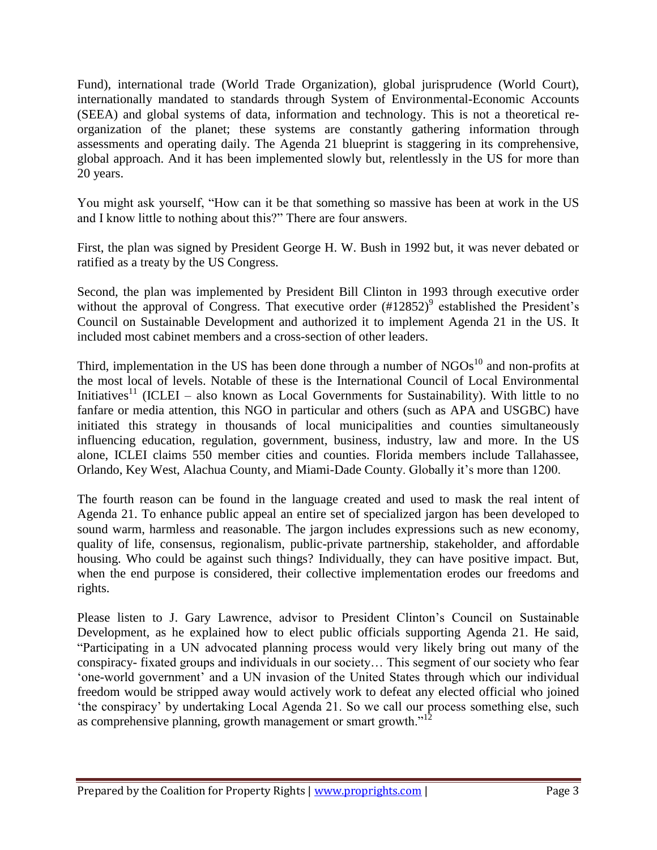Fund), international trade (World Trade Organization), global jurisprudence (World Court), internationally mandated to standards through System of Environmental-Economic Accounts (SEEA) and global systems of data, information and technology. This is not a theoretical reorganization of the planet; these systems are constantly gathering information through assessments and operating daily. The Agenda 21 blueprint is staggering in its comprehensive, global approach. And it has been implemented slowly but, relentlessly in the US for more than 20 years.

You might ask yourself, "How can it be that something so massive has been at work in the US and I know little to nothing about this?" There are four answers.

First, the plan was signed by President George H. W. Bush in 1992 but, it was never debated or ratified as a treaty by the US Congress.

Second, the plan was implemented by President Bill Clinton in 1993 through executive order without the approval of Congress. That executive order  $(\text{\#12852})^9$  established the President's Council on Sustainable Development and authorized it to implement Agenda 21 in the US. It included most cabinet members and a cross-section of other leaders.

Third, implementation in the US has been done through a number of  $NGOs<sup>10</sup>$  and non-profits at the most local of levels. Notable of these is the International Council of Local Environmental Initiatives<sup>11</sup> (ICLEI – also known as Local Governments for Sustainability). With little to no fanfare or media attention, this NGO in particular and others (such as APA and USGBC) have initiated this strategy in thousands of local municipalities and counties simultaneously influencing education, regulation, government, business, industry, law and more. In the US alone, ICLEI claims 550 member cities and counties. Florida members include Tallahassee, Orlando, Key West, Alachua County, and Miami-Dade County. Globally it's more than 1200.

The fourth reason can be found in the language created and used to mask the real intent of Agenda 21. To enhance public appeal an entire set of specialized jargon has been developed to sound warm, harmless and reasonable. The jargon includes expressions such as new economy, quality of life, consensus, regionalism, public-private partnership, stakeholder, and affordable housing. Who could be against such things? Individually, they can have positive impact. But, when the end purpose is considered, their collective implementation erodes our freedoms and rights.

Please listen to J. Gary Lawrence, advisor to President Clinton's Council on Sustainable Development, as he explained how to elect public officials supporting Agenda 21. He said, "Participating in a UN advocated planning process would very likely bring out many of the conspiracy- fixated groups and individuals in our society… This segment of our society who fear 'one-world government' and a UN invasion of the United States through which our individual freedom would be stripped away would actively work to defeat any elected official who joined 'the conspiracy' by undertaking Local Agenda 21. So we call our process something else, such as comprehensive planning, growth management or smart growth."<sup>12</sup>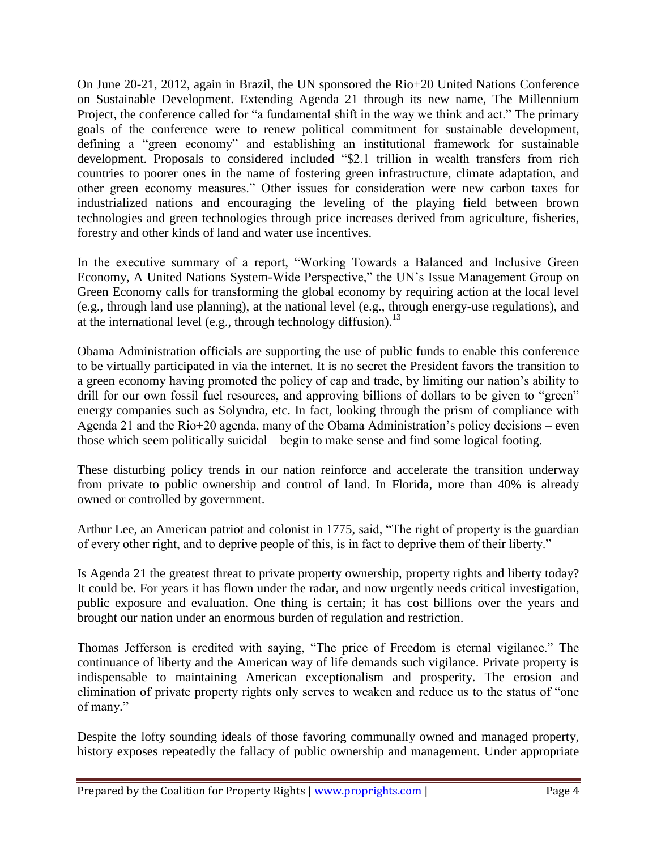On June 20-21, 2012, again in Brazil, the UN sponsored the Rio+20 United Nations Conference on Sustainable Development. Extending Agenda 21 through its new name, The Millennium Project, the conference called for "a fundamental shift in the way we think and act." The primary goals of the conference were to renew political commitment for sustainable development, defining a "green economy" and establishing an institutional framework for sustainable development. Proposals to considered included "\$2.1 trillion in wealth transfers from rich countries to poorer ones in the name of fostering green infrastructure, climate adaptation, and other green economy measures." Other issues for consideration were new carbon taxes for industrialized nations and encouraging the leveling of the playing field between brown technologies and green technologies through price increases derived from agriculture, fisheries, forestry and other kinds of land and water use incentives.

In the executive summary of a report, "Working Towards a Balanced and Inclusive Green Economy, A United Nations System-Wide Perspective," the UN's Issue Management Group on Green Economy calls for transforming the global economy by requiring action at the local level (e.g., through land use planning), at the national level (e.g., through energy-use regulations), and at the international level (e.g., through technology diffusion).<sup>13</sup>

Obama Administration officials are supporting the use of public funds to enable this conference to be virtually participated in via the internet. It is no secret the President favors the transition to a green economy having promoted the policy of cap and trade, by limiting our nation's ability to drill for our own fossil fuel resources, and approving billions of dollars to be given to "green" energy companies such as Solyndra, etc. In fact, looking through the prism of compliance with Agenda 21 and the Rio+20 agenda, many of the Obama Administration's policy decisions – even those which seem politically suicidal – begin to make sense and find some logical footing.

These disturbing policy trends in our nation reinforce and accelerate the transition underway from private to public ownership and control of land. In Florida, more than 40% is already owned or controlled by government.

Arthur Lee, an American patriot and colonist in 1775, said, "The right of property is the guardian of every other right, and to deprive people of this, is in fact to deprive them of their liberty."

Is Agenda 21 the greatest threat to private property ownership, property rights and liberty today? It could be. For years it has flown under the radar, and now urgently needs critical investigation, public exposure and evaluation. One thing is certain; it has cost billions over the years and brought our nation under an enormous burden of regulation and restriction.

Thomas Jefferson is credited with saying, "The price of Freedom is eternal vigilance." The continuance of liberty and the American way of life demands such vigilance. Private property is indispensable to maintaining American exceptionalism and prosperity. The erosion and elimination of private property rights only serves to weaken and reduce us to the status of "one of many."

Despite the lofty sounding ideals of those favoring communally owned and managed property, history exposes repeatedly the fallacy of public ownership and management. Under appropriate